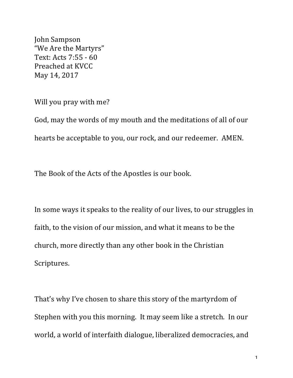John Sampson "We Are the Martyrs" Text: Acts 7:55 - 60 Preached at KVCC May 14, 2017

Will you pray with me?

God, may the words of my mouth and the meditations of all of our hearts be acceptable to you, our rock, and our redeemer. AMEN.

The Book of the Acts of the Apostles is our book.

In some ways it speaks to the reality of our lives, to our struggles in faith, to the vision of our mission, and what it means to be the church, more directly than any other book in the Christian Scriptures.

That's why I've chosen to share this story of the martyrdom of Stephen with you this morning. It may seem like a stretch. In our world, a world of interfaith dialogue, liberalized democracies, and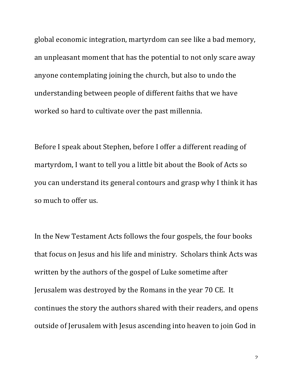global economic integration, martyrdom can see like a bad memory, an unpleasant moment that has the potential to not only scare away anyone contemplating joining the church, but also to undo the understanding between people of different faiths that we have worked so hard to cultivate over the past millennia.

Before I speak about Stephen, before I offer a different reading of martyrdom, I want to tell you a little bit about the Book of Acts so you can understand its general contours and grasp why I think it has so much to offer us.

In the New Testament Acts follows the four gospels, the four books that focus on Jesus and his life and ministry. Scholars think Acts was written by the authors of the gospel of Luke sometime after Jerusalem was destroyed by the Romans in the year 70 CE. It continues the story the authors shared with their readers, and opens outside of Jerusalem with Jesus ascending into heaven to join God in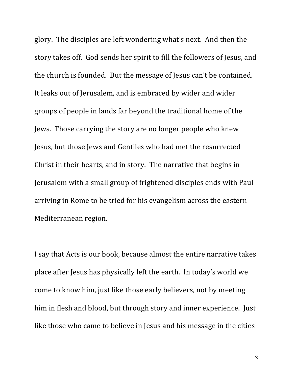glory. The disciples are left wondering what's next. And then the story takes off. God sends her spirit to fill the followers of Jesus, and the church is founded. But the message of Jesus can't be contained. It leaks out of Jerusalem, and is embraced by wider and wider groups of people in lands far beyond the traditional home of the Jews. Those carrying the story are no longer people who knew Jesus, but those Jews and Gentiles who had met the resurrected Christ in their hearts, and in story. The narrative that begins in Jerusalem with a small group of frightened disciples ends with Paul arriving in Rome to be tried for his evangelism across the eastern Mediterranean region.

I say that Acts is our book, because almost the entire narrative takes place after Jesus has physically left the earth. In today's world we come to know him, just like those early believers, not by meeting him in flesh and blood, but through story and inner experience. Just like those who came to believe in Jesus and his message in the cities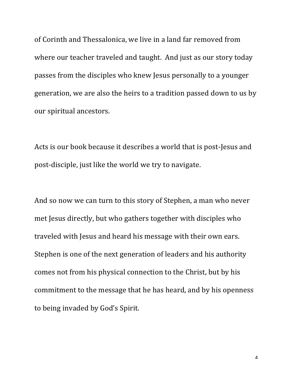of Corinth and Thessalonica, we live in a land far removed from where our teacher traveled and taught. And just as our story today passes from the disciples who knew Jesus personally to a younger generation, we are also the heirs to a tradition passed down to us by our spiritual ancestors.

Acts is our book because it describes a world that is post-Jesus and post-disciple, just like the world we try to navigate.

And so now we can turn to this story of Stephen, a man who never met Jesus directly, but who gathers together with disciples who traveled with Jesus and heard his message with their own ears. Stephen is one of the next generation of leaders and his authority comes not from his physical connection to the Christ, but by his commitment to the message that he has heard, and by his openness to being invaded by God's Spirit.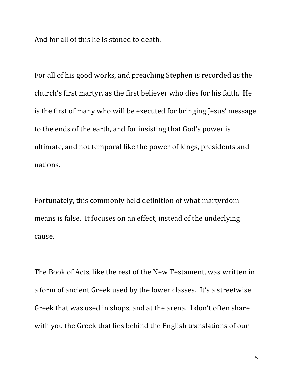And for all of this he is stoned to death.

For all of his good works, and preaching Stephen is recorded as the church's first martyr, as the first believer who dies for his faith. He is the first of many who will be executed for bringing Jesus' message to the ends of the earth, and for insisting that God's power is ultimate, and not temporal like the power of kings, presidents and nations.

Fortunately, this commonly held definition of what martyrdom means is false. It focuses on an effect, instead of the underlying cause.

The Book of Acts, like the rest of the New Testament, was written in a form of ancient Greek used by the lower classes. It's a streetwise Greek that was used in shops, and at the arena. I don't often share with you the Greek that lies behind the English translations of our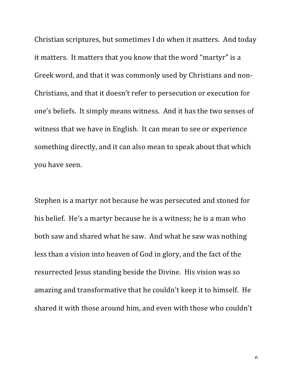Christian scriptures, but sometimes I do when it matters. And today it matters. It matters that you know that the word "martyr" is a Greek word, and that it was commonly used by Christians and non-Christians, and that it doesn't refer to persecution or execution for one's beliefs. It simply means witness. And it has the two senses of witness that we have in English. It can mean to see or experience something directly, and it can also mean to speak about that which you have seen.

Stephen is a martyr not because he was persecuted and stoned for his belief. He's a martyr because he is a witness; he is a man who both saw and shared what he saw. And what he saw was nothing less than a vision into heaven of God in glory, and the fact of the resurrected Jesus standing beside the Divine. His vision was so amazing and transformative that he couldn't keep it to himself. He shared it with those around him, and even with those who couldn't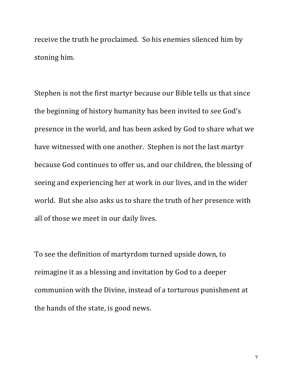receive the truth he proclaimed. So his enemies silenced him by stoning him.

Stephen is not the first martyr because our Bible tells us that since the beginning of history humanity has been invited to see God's presence in the world, and has been asked by God to share what we have witnessed with one another. Stephen is not the last martyr because God continues to offer us, and our children, the blessing of seeing and experiencing her at work in our lives, and in the wider world. But she also asks us to share the truth of her presence with all of those we meet in our daily lives.

To see the definition of martyrdom turned upside down, to reimagine it as a blessing and invitation by God to a deeper communion with the Divine, instead of a torturous punishment at the hands of the state, is good news.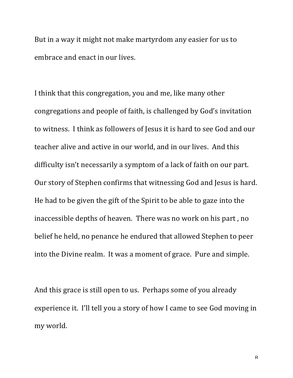But in a way it might not make martyrdom any easier for us to embrace and enact in our lives.

I think that this congregation, you and me, like many other congregations and people of faith, is challenged by God's invitation to witness. I think as followers of Jesus it is hard to see God and our teacher alive and active in our world, and in our lives. And this difficulty isn't necessarily a symptom of a lack of faith on our part. Our story of Stephen confirms that witnessing God and Jesus is hard. He had to be given the gift of the Spirit to be able to gaze into the inaccessible depths of heaven. There was no work on his part, no belief he held, no penance he endured that allowed Stephen to peer into the Divine realm. It was a moment of grace. Pure and simple.

And this grace is still open to us. Perhaps some of you already experience it. I'll tell you a story of how I came to see God moving in my world.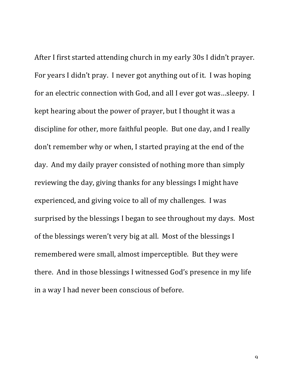After I first started attending church in my early 30s I didn't prayer. For years I didn't pray. I never got anything out of it. I was hoping for an electric connection with God, and all I ever got was...sleepy. I kept hearing about the power of prayer, but I thought it was a discipline for other, more faithful people. But one day, and I really don't remember why or when, I started praying at the end of the day. And my daily prayer consisted of nothing more than simply reviewing the day, giving thanks for any blessings I might have experienced, and giving voice to all of my challenges. I was surprised by the blessings I began to see throughout my days. Most of the blessings weren't very big at all. Most of the blessings I remembered were small, almost imperceptible. But they were there. And in those blessings I witnessed God's presence in my life in a way I had never been conscious of before.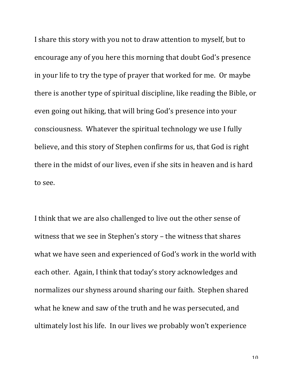I share this story with you not to draw attention to myself, but to encourage any of you here this morning that doubt God's presence in your life to try the type of prayer that worked for me. Or maybe there is another type of spiritual discipline, like reading the Bible, or even going out hiking, that will bring God's presence into your consciousness. Whatever the spiritual technology we use I fully believe, and this story of Stephen confirms for us, that God is right there in the midst of our lives, even if she sits in heaven and is hard to see.

I think that we are also challenged to live out the other sense of witness that we see in Stephen's story  $-$  the witness that shares what we have seen and experienced of God's work in the world with each other. Again, I think that today's story acknowledges and normalizes our shyness around sharing our faith. Stephen shared what he knew and saw of the truth and he was persecuted, and ultimately lost his life. In our lives we probably won't experience

 $1<sub>0</sub>$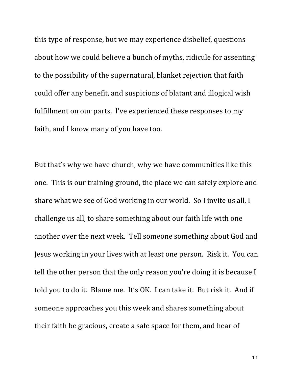this type of response, but we may experience disbelief, questions about how we could believe a bunch of myths, ridicule for assenting to the possibility of the supernatural, blanket rejection that faith could offer any benefit, and suspicions of blatant and illogical wish fulfillment on our parts. I've experienced these responses to my faith, and I know many of you have too.

But that's why we have church, why we have communities like this one. This is our training ground, the place we can safely explore and share what we see of God working in our world. So I invite us all, I challenge us all, to share something about our faith life with one another over the next week. Tell someone something about God and Jesus working in your lives with at least one person. Risk it. You can tell the other person that the only reason you're doing it is because I told you to do it. Blame me. It's OK. I can take it. But risk it. And if someone approaches you this week and shares something about their faith be gracious, create a safe space for them, and hear of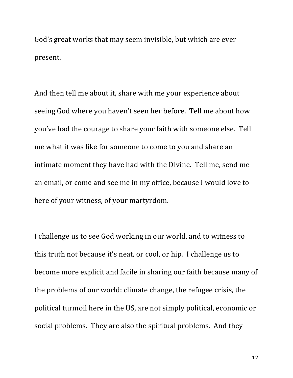God's great works that may seem invisible, but which are ever present.

And then tell me about it, share with me your experience about seeing God where you haven't seen her before. Tell me about how you've had the courage to share your faith with someone else. Tell me what it was like for someone to come to you and share an intimate moment they have had with the Divine. Tell me, send me an email, or come and see me in my office, because I would love to here of your witness, of your martyrdom.

I challenge us to see God working in our world, and to witness to this truth not because it's neat, or cool, or hip. I challenge us to become more explicit and facile in sharing our faith because many of the problems of our world: climate change, the refugee crisis, the political turmoil here in the US, are not simply political, economic or social problems. They are also the spiritual problems. And they